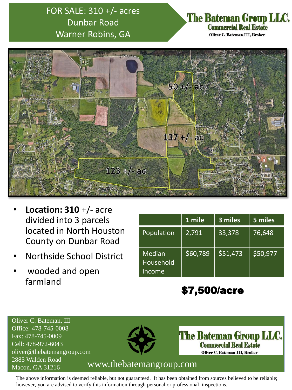# FOR SALE: 310 +/- acres Dunbar Road Warner Robins, GA

#### **The Bateman Group LLC. Commercial Real Estate** Oliver C. Bateman III, Broker



- **Location: 310** +/- acre divided into 3 parcels located in North Houston County on Dunbar Road
- Northside School District
- wooded and open farmland

|                               | 1 mile   | 3 miles  | 5 miles  |
|-------------------------------|----------|----------|----------|
| Population                    | 2,791    | 33,378   | 76,648   |
| Median<br>Household<br>Income | \$60,789 | \$51,473 | \$50,977 |

# \$7,500/acre

Oliver C. Bateman, III Office: 478-745-0008 Fax: 478-745-0009 Cell: 478-972-6043 oliver@thebatemangroup.com 2885 Walden Road



**The Bateman Group LLC. Commercial Real Estate** Oliver C. Bateman III, Broker

### Macon, GA 31216 www.thebatemangroup.com

The above information is deemed reliable, but not guaranteed. It has been obtained from sources believed to be reliable; however, you are advised to verify this information through personal or professional inspections.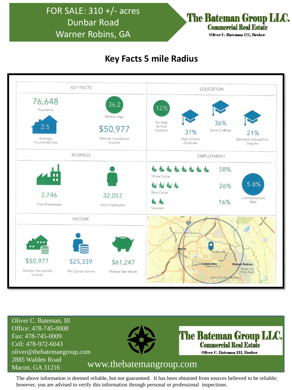### FOR SALE: 310 +/- acres Dunbar Road Warner Robins, GA

The Bateman Group LLC. **Commercial Real Estate** Oliver C. Bateman III, Broker

### **Key Facts 5 mile Radius**



Oliver C. Bateman, III Office: 478-745-0008 Fax: 478-745-0009 Cell: 478-972-6043 oliver@thebatemangroup.com 2885 Walden Road



**The Bateman Group LLC. Commercial Real Estate** Oliver C. Bateman III, Broker

### Macon, GA 31216 www.thebatemangroup.com

The above information is deemed reliable, but not guaranteed. It has been obtained from sources believed to be reliable; however, you are advised to verify this information through personal or professional inspections.